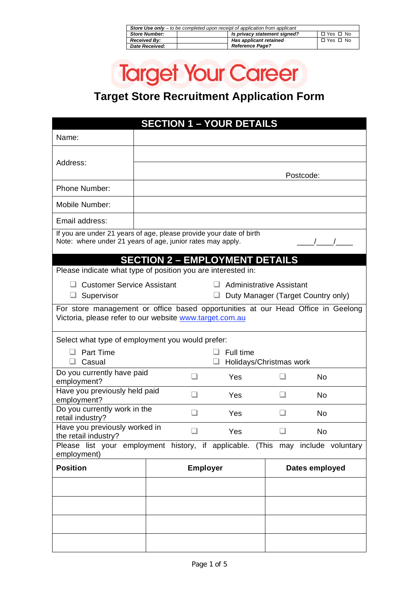| <b>Store Use only</b> $-$ to be completed upon receipt of application from applicant |  |                              |            |  |
|--------------------------------------------------------------------------------------|--|------------------------------|------------|--|
| <b>Store Number:</b>                                                                 |  | Is privacy statement signed? | □ Yes □ No |  |
| <b>Received By:</b>                                                                  |  | Has applicant retained       | □ Yes □ No |  |
| Date Received:                                                                       |  | <b>Reference Page?</b>       |            |  |

# **Target Your Career**

### **Target Store Recruitment Application Form**

| <b>SECTION 1 - YOUR DETAILS</b>                                                                                                   |                                                                                                                                             |  |     |                                 |                |    |                                    |  |
|-----------------------------------------------------------------------------------------------------------------------------------|---------------------------------------------------------------------------------------------------------------------------------------------|--|-----|---------------------------------|----------------|----|------------------------------------|--|
| Name:                                                                                                                             |                                                                                                                                             |  |     |                                 |                |    |                                    |  |
| Address:                                                                                                                          | Postcode:                                                                                                                                   |  |     |                                 |                |    |                                    |  |
| Phone Number:                                                                                                                     |                                                                                                                                             |  |     |                                 |                |    |                                    |  |
| Mobile Number:                                                                                                                    |                                                                                                                                             |  |     |                                 |                |    |                                    |  |
| Email address:                                                                                                                    |                                                                                                                                             |  |     |                                 |                |    |                                    |  |
| If you are under 21 years of age, please provide your date of birth<br>Note: where under 21 years of age, junior rates may apply. | <b>SECTION 2 - EMPLOYMENT DETAILS</b>                                                                                                       |  |     |                                 |                |    |                                    |  |
| Please indicate what type of position you are interested in:                                                                      |                                                                                                                                             |  |     |                                 |                |    |                                    |  |
| □ Customer Service Assistant<br>Supervisor<br>⊔.                                                                                  |                                                                                                                                             |  |     | <b>Administrative Assistant</b> |                |    | Duty Manager (Target Country only) |  |
|                                                                                                                                   | For store management or office based opportunities at our Head Office in Geelong<br>Victoria, please refer to our website www.target.com.au |  |     |                                 |                |    |                                    |  |
| Select what type of employment you would prefer:                                                                                  |                                                                                                                                             |  |     |                                 |                |    |                                    |  |
| Part Time<br>Full time<br>Holidays/Christmas work                                                                                 |                                                                                                                                             |  |     |                                 |                |    |                                    |  |
| Casual<br>ப<br>Do you currently have paid                                                                                         |                                                                                                                                             |  |     | Yes                             |                |    | No                                 |  |
| employment?<br>Have you previously held paid                                                                                      |                                                                                                                                             |  | Yes |                                 |                | No |                                    |  |
| employment?<br>Do you currently work in the                                                                                       |                                                                                                                                             |  | Yes |                                 |                | No |                                    |  |
| retail industry?<br>Have you previously worked in                                                                                 |                                                                                                                                             |  |     |                                 |                |    |                                    |  |
| the retail industry?                                                                                                              |                                                                                                                                             |  |     | Yes                             |                |    | No                                 |  |
| Please list your employment history, if applicable. (This may include voluntary<br>employment)                                    |                                                                                                                                             |  |     |                                 |                |    |                                    |  |
| <b>Position</b>                                                                                                                   | <b>Employer</b>                                                                                                                             |  |     |                                 | Dates employed |    |                                    |  |
|                                                                                                                                   |                                                                                                                                             |  |     |                                 |                |    |                                    |  |
|                                                                                                                                   |                                                                                                                                             |  |     |                                 |                |    |                                    |  |
|                                                                                                                                   |                                                                                                                                             |  |     |                                 |                |    |                                    |  |
|                                                                                                                                   |                                                                                                                                             |  |     |                                 |                |    |                                    |  |
|                                                                                                                                   |                                                                                                                                             |  |     |                                 |                |    |                                    |  |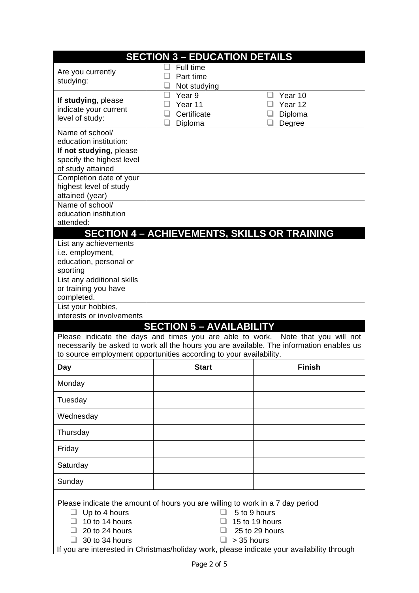| <b>SECTION 3 - EDUCATION DETAILS</b>               |                                                                               |                                                                                                                                              |  |  |
|----------------------------------------------------|-------------------------------------------------------------------------------|----------------------------------------------------------------------------------------------------------------------------------------------|--|--|
| Are you currently                                  | Full time                                                                     |                                                                                                                                              |  |  |
| studying:                                          | Part time<br>Not studying                                                     |                                                                                                                                              |  |  |
| If studying, please                                | Year 9                                                                        | Year 10                                                                                                                                      |  |  |
| indicate your current                              | Year 11                                                                       | Year 12                                                                                                                                      |  |  |
| level of study:                                    | Certificate                                                                   | Diploma                                                                                                                                      |  |  |
| Name of school/                                    | Diploma                                                                       | Degree                                                                                                                                       |  |  |
| education institution:                             |                                                                               |                                                                                                                                              |  |  |
| If not studying, please                            |                                                                               |                                                                                                                                              |  |  |
| specify the highest level                          |                                                                               |                                                                                                                                              |  |  |
| of study attained                                  |                                                                               |                                                                                                                                              |  |  |
| Completion date of your                            |                                                                               |                                                                                                                                              |  |  |
| highest level of study<br>attained (year)          |                                                                               |                                                                                                                                              |  |  |
| Name of school/                                    |                                                                               |                                                                                                                                              |  |  |
| education institution                              |                                                                               |                                                                                                                                              |  |  |
| attended:                                          |                                                                               |                                                                                                                                              |  |  |
|                                                    | <b>SECTION 4 - ACHIEVEMENTS, SKILLS OR TRAINING</b>                           |                                                                                                                                              |  |  |
| List any achievements                              |                                                                               |                                                                                                                                              |  |  |
| i.e. employment,                                   |                                                                               |                                                                                                                                              |  |  |
| education, personal or                             |                                                                               |                                                                                                                                              |  |  |
| sporting                                           |                                                                               |                                                                                                                                              |  |  |
| List any additional skills<br>or training you have |                                                                               |                                                                                                                                              |  |  |
| completed.                                         |                                                                               |                                                                                                                                              |  |  |
| List your hobbies,                                 |                                                                               |                                                                                                                                              |  |  |
| interests or involvements                          |                                                                               |                                                                                                                                              |  |  |
|                                                    | <b>SECTION 5 - AVAILABILITY</b>                                               |                                                                                                                                              |  |  |
|                                                    | Please indicate the days and times you are able to work.                      | Note that you will not                                                                                                                       |  |  |
|                                                    |                                                                               | necessarily be asked to work all the hours you are available. The information enables us                                                     |  |  |
|                                                    | to source employment opportunities according to your availability.            |                                                                                                                                              |  |  |
| <b>Day</b>                                         | <b>Start</b>                                                                  | <b>Finish</b>                                                                                                                                |  |  |
| Monday                                             |                                                                               |                                                                                                                                              |  |  |
| Tuesday                                            |                                                                               |                                                                                                                                              |  |  |
| Wednesday                                          |                                                                               |                                                                                                                                              |  |  |
| Thursday                                           |                                                                               |                                                                                                                                              |  |  |
| Friday                                             |                                                                               |                                                                                                                                              |  |  |
| Saturday                                           |                                                                               |                                                                                                                                              |  |  |
| Sunday                                             |                                                                               |                                                                                                                                              |  |  |
| Up to 4 hours                                      | Please indicate the amount of hours you are willing to work in a 7 day period | 5 to 9 hours                                                                                                                                 |  |  |
| 10 to 14 hours<br>20 to 24 hours<br>30 to 34 hours |                                                                               | 15 to 19 hours<br>25 to 29 hours<br>> 35 hours<br>If you are interested in Christmas/holiday work, please indicate your availability through |  |  |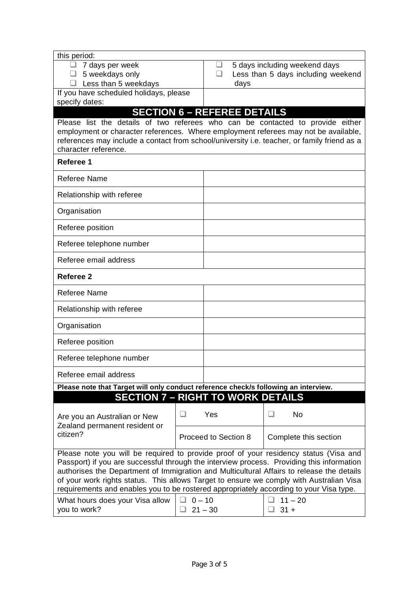| this period:                                                                                                        |                      |           |                       |        |                                    |
|---------------------------------------------------------------------------------------------------------------------|----------------------|-----------|-----------------------|--------|------------------------------------|
| 7 days per week                                                                                                     |                      |           |                       |        | 5 days including weekend days      |
| 5 weekdays only                                                                                                     |                      | ப         |                       |        | Less than 5 days including weekend |
| $\Box$ Less than 5 weekdays                                                                                         |                      |           | days                  |        |                                    |
| If you have scheduled holidays, please                                                                              |                      |           |                       |        |                                    |
| specify dates:                                                                                                      |                      |           |                       |        |                                    |
| <b>SECTION 6 - REFEREE DETAILS</b>                                                                                  |                      |           |                       |        |                                    |
| Please list the details of two referees who can be contacted to provide either                                      |                      |           |                       |        |                                    |
| employment or character references. Where employment referees may not be available,                                 |                      |           |                       |        |                                    |
| references may include a contact from school/university i.e. teacher, or family friend as a<br>character reference. |                      |           |                       |        |                                    |
|                                                                                                                     |                      |           |                       |        |                                    |
| Referee 1                                                                                                           |                      |           |                       |        |                                    |
| <b>Referee Name</b>                                                                                                 |                      |           |                       |        |                                    |
| Relationship with referee                                                                                           |                      |           |                       |        |                                    |
| Organisation                                                                                                        |                      |           |                       |        |                                    |
| Referee position                                                                                                    |                      |           |                       |        |                                    |
| Referee telephone number                                                                                            |                      |           |                       |        |                                    |
| Referee email address                                                                                               |                      |           |                       |        |                                    |
| Referee 2                                                                                                           |                      |           |                       |        |                                    |
| <b>Referee Name</b>                                                                                                 |                      |           |                       |        |                                    |
| Relationship with referee                                                                                           |                      |           |                       |        |                                    |
| Organisation                                                                                                        |                      |           |                       |        |                                    |
| Referee position                                                                                                    |                      |           |                       |        |                                    |
| Referee telephone number                                                                                            |                      |           |                       |        |                                    |
| Referee email address                                                                                               |                      |           |                       |        |                                    |
| Please note that Target will only conduct reference check/s following an interview.                                 |                      |           |                       |        |                                    |
| <b>SECTION 7 - RIGHT TO WORK DETAILS</b>                                                                            |                      |           |                       |        |                                    |
|                                                                                                                     | - 1                  | Yes       |                       |        | No                                 |
| Are you an Australian or New                                                                                        |                      |           |                       |        |                                    |
| Zealand permanent resident or<br>citizen?                                                                           | Proceed to Section 8 |           | Complete this section |        |                                    |
|                                                                                                                     |                      |           |                       |        |                                    |
| Please note you will be required to provide proof of your residency status (Visa and                                |                      |           |                       |        |                                    |
| Passport) if you are successful through the interview process. Providing this information                           |                      |           |                       |        |                                    |
| authorises the Department of Immigration and Multicultural Affairs to release the details                           |                      |           |                       |        |                                    |
| of your work rights status. This allows Target to ensure we comply with Australian Visa                             |                      |           |                       |        |                                    |
| requirements and enables you to be rostered appropriately according to your Visa type.                              |                      |           |                       |        |                                    |
| What hours does your Visa allow                                                                                     | $0 - 10$             |           |                       |        | $11 - 20$                          |
| you to work?                                                                                                        |                      | $21 - 30$ |                       | $31 +$ |                                    |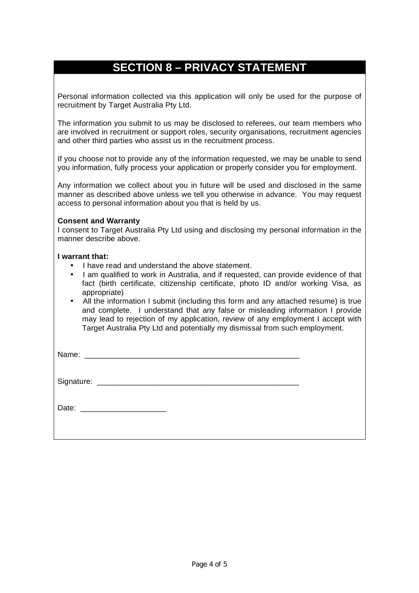### **SECTION 8 – PRIVACY STATEMENT**

Personal information collected via this application will only be used for the purpose of recruitment by Target Australia Pty Ltd.

The information you submit to us may be disclosed to referees, our team members who are involved in recruitment or support roles, security organisations, recruitment agencies and other third parties who assist us in the recruitment process.

If you choose not to provide any of the information requested, we may be unable to send you information, fully process your application or properly consider you for employment.

Any information we collect about you in future will be used and disclosed in the same manner as described above unless we tell you otherwise in advance. You may request access to personal information about you that is held by us.

#### **Consent and Warranty**

I consent to Target Australia Pty Ltd using and disclosing my personal information in the manner describe above.

#### **I warrant that:**

- I have read and understand the above statement.
- I am qualified to work in Australia, and if requested, can provide evidence of that fact (birth certificate, citizenship certificate, photo ID and/or working Visa, as appropriate)
- All the information I submit (including this form and any attached resume) is true and complete. I understand that any false or misleading information I provide may lead to rejection of my application, review of any employment I accept with Target Australia Pty Ltd and potentially my dismissal from such employment.